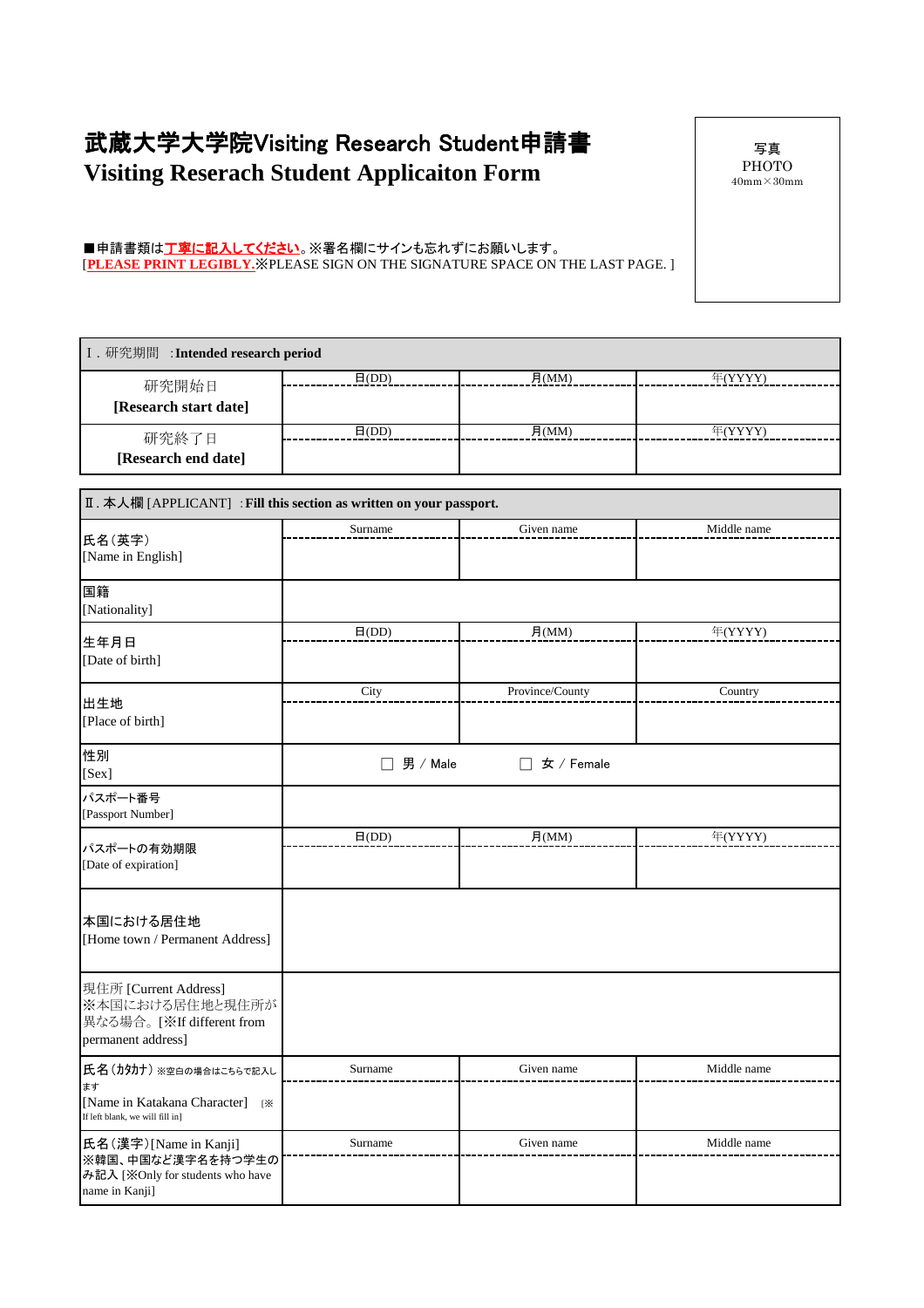## 武蔵大学大学院Visiting Research Student申請書 **Visiting Reserach Student Applicaiton Form**

写真 PHOTO  $40\mathrm{mm}\!\times\!30\mathrm{mm}$ 

## ■申請書類は工<mark>寧に記入してください</mark>。※署名欄にサインも忘れずにお願いします。 [**PLEASE PRINT LEGIBLY.**※PLEASE SIGN ON THE SIGNATURE SPACE ON THE LAST PAGE. ]

| I. 研究期間 : Intended research period                                                                    |                           |                    |             |
|-------------------------------------------------------------------------------------------------------|---------------------------|--------------------|-------------|
| 研究開始日<br>[Research start date]                                                                        | $\overline{H(DD)}$        | $\overline{H(MM)}$ | 年(YYYY)     |
| 研究終了日<br>[Research end date]                                                                          | $\overline{H(DD)}$        | 月(MM)              | 年(YYYY)     |
| Ⅱ. 本人欄 [APPLICANT] : Fill this section as written on your passport.                                   |                           |                    |             |
| 氏名(英字)<br>[Name in English]                                                                           | Surname                   | Given name         | Middle name |
| 国籍<br>[Nationality]                                                                                   |                           |                    |             |
| 生年月日<br>[Date of birth]                                                                               | $\mathsf{H}(\mathrm{DD})$ | 月 $(MM)$           | 年(YYYY)     |
| 出生地<br>[Place of birth]                                                                               | City                      | Province/County    | Country     |
| 性別<br>[Sex]                                                                                           | 男 / Male                  | 女 / Female         |             |
| パスポート番号<br>[Passport Number]                                                                          |                           |                    |             |
| パスポートの有効期限<br>[Date of expiration]                                                                    | $\mathsf{H}(\mathrm{DD})$ | H(MM)              | 年(YYYY)     |
| 本国における居住地<br>[Home town / Permanent Address]                                                          |                           |                    |             |
| 現住所 [Current Address]<br>※本国における居住地と現住所が<br>異なる場合。[※If different from<br>permanent address]           |                           |                    |             |
| 氏名(カタカナ)※空白の場合はこちらで記入し<br>ます<br>[Name in Katakana Character]<br>ſЖ<br>If left blank, we will fill in] | Surname                   | Given name         | Middle name |
| 氏名(漢字)[Name in Kanji]<br>※韓国、中国など漢字名を持つ学生の<br>み記入 [※Only for students who have<br>name in Kanji]      | Surname                   | Given name         | Middle name |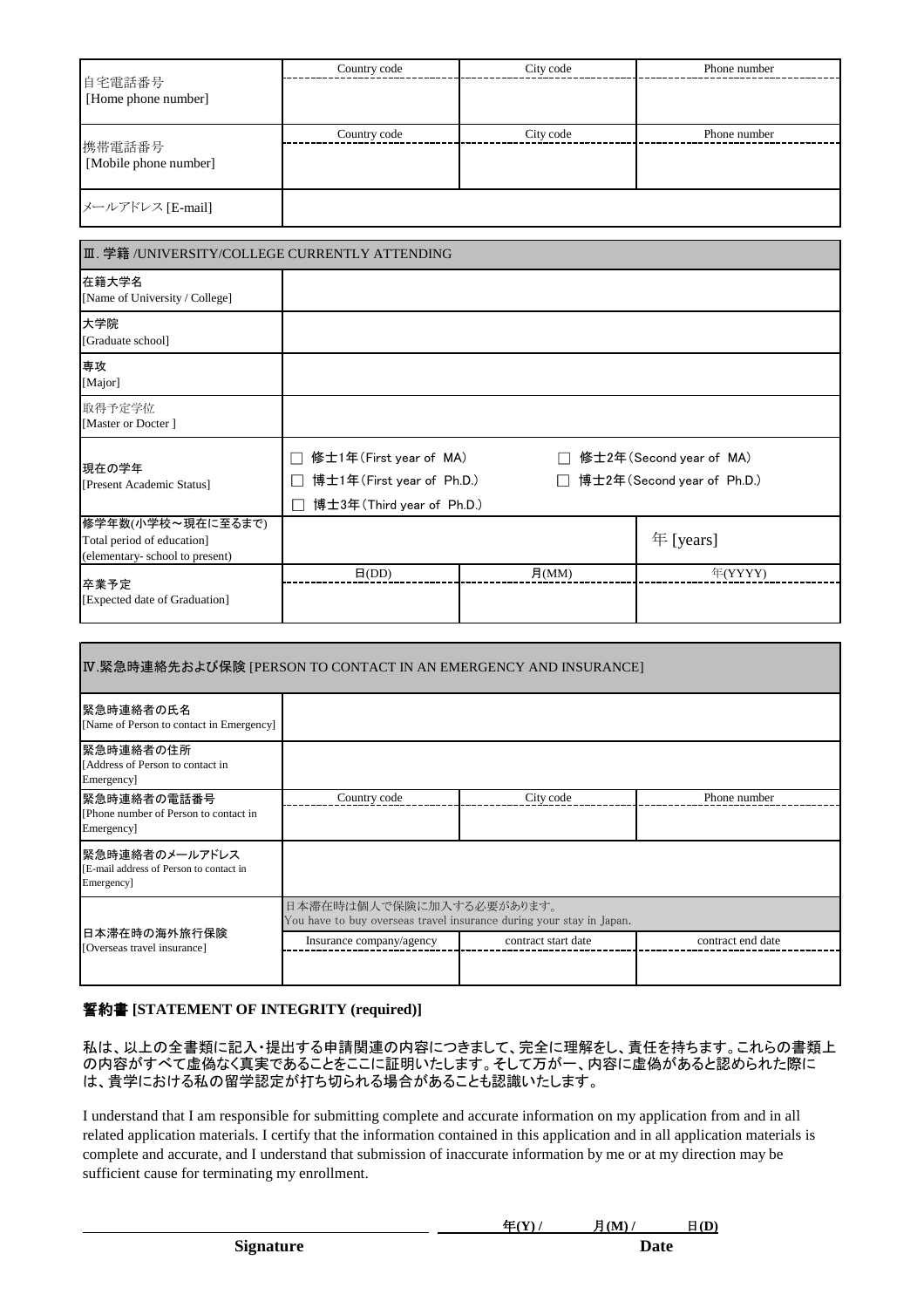| 自宅電話番号<br>[Home phone number]   | Country code | City code | Phone number |
|---------------------------------|--------------|-----------|--------------|
|                                 |              |           |              |
| 携帯電話番号<br>[Mobile phone number] | Country code | City code | Phone number |
|                                 |              |           |              |
| メールアドレス [E-mail]                |              |           |              |

| Ⅲ. 学籍 /UNIVERSITY/COLLEGE CURRENTLY ATTENDING                                     |                                                                                                                                                                                                                                |          |                      |
|-----------------------------------------------------------------------------------|--------------------------------------------------------------------------------------------------------------------------------------------------------------------------------------------------------------------------------|----------|----------------------|
| 在籍大学名<br>[Name of University / College]                                           |                                                                                                                                                                                                                                |          |                      |
| 大学院<br>[Graduate school]                                                          |                                                                                                                                                                                                                                |          |                      |
| 専攻<br>[Major]                                                                     |                                                                                                                                                                                                                                |          |                      |
| 取得予定学位<br>[Master or Docter]                                                      |                                                                                                                                                                                                                                |          |                      |
| 現在の学年<br>[Present Academic Status]                                                | 修士1年(First year of MA)<br>修士2年(Second year of MA)<br>$\overline{\phantom{0}}$<br>博士1年(First year of Ph.D.)<br>博士2年(Second year of Ph.D.)<br>$\Box$<br>$\mathcal{L}_{\mathcal{A}}$<br>博士3年(Third year of Ph.D.)<br>$\mathbf{I}$ |          |                      |
| 修学年数(小学校~現在に至るまで)<br>Total period of education]<br>(elementary-school to present) |                                                                                                                                                                                                                                |          | $\mathbf{F}$ [years] |
| 卒業予定<br>[Expected date of Graduation]                                             | $\Box$ (DD)                                                                                                                                                                                                                    | 月 $(MM)$ | 年(YYYY)              |

| Ⅳ.緊急時連絡先および保険 [PERSON TO CONTACT IN AN EMERGENCY AND INSURANCE]         |                                                                                                  |                     |                   |  |
|-------------------------------------------------------------------------|--------------------------------------------------------------------------------------------------|---------------------|-------------------|--|
| 緊急時連絡者の氏名<br>[Name of Person to contact in Emergency]                   |                                                                                                  |                     |                   |  |
| 緊急時連絡者の住所 <br>[Address of Person to contact in<br>Emergency]            |                                                                                                  |                     |                   |  |
| 緊急時連絡者の電話番号<br>[Phone number of Person to contact in<br>Emergency]      | Country code                                                                                     | City code           | Phone number      |  |
| 緊急時連絡者のメールアドレス<br>[E-mail address of Person to contact in<br>Emergency] |                                                                                                  |                     |                   |  |
| 日本滞在時の海外旅行保険<br>[Overseas travel insurance]                             | 日本滞在時は個人で保険に加入する必要があります。<br>You have to buy overseas travel insurance during your stay in Japan. |                     |                   |  |
|                                                                         | Insurance company/agency                                                                         | contract start date | contract end date |  |

## 誓約書 **[STATEMENT OF INTEGRITY (required)]**

私は、以上の全書類に記入・提出する申請関連の内容につきまして、完全に理解をし、責任を持ちます。これらの書類上 の内容がすべて虚偽なく真実であることをここに証明いたします。そして万が一、内容に虚偽があると認められた際に は、貴学における私の留学認定が打ち切られる場合があることも認識いたします。

I understand that I am responsible for submitting complete and accurate information on my application from and in all related application materials. I certify that the information contained in this application and in all application materials is complete and accurate, and I understand that submission of inaccurate information by me or at my direction may be sufficient cause for terminating my enrollment.

| --<br>.<br>.<br>.<br>. . | (M)<br>-<br>.<br>. . | $\cdot$<br>. . |
|--------------------------|----------------------|----------------|
|                          |                      |                |